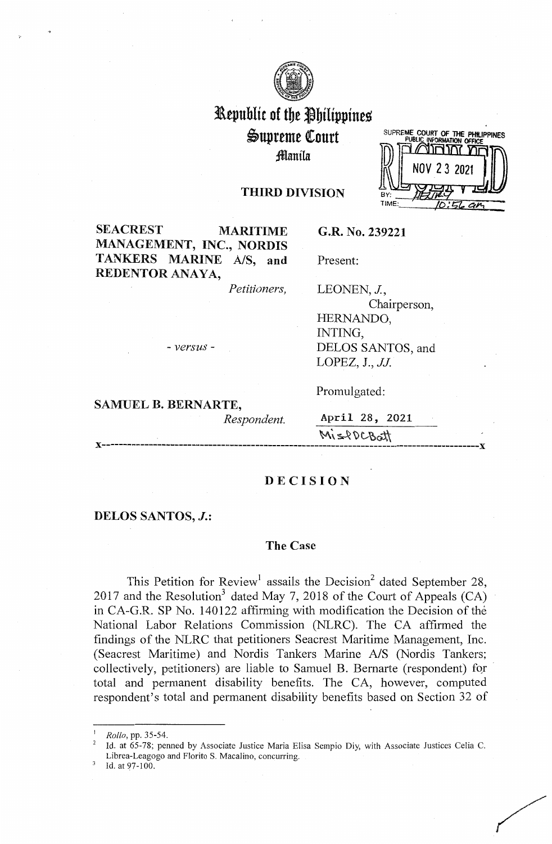

# l\epublit of tbe Jbilippines i>upreme QCourt Jllanila

|     | SUPREME COURT OF THE PHILIPPINES |
|-----|----------------------------------|
|     | PUBLIC INFORMATION OFFICE<br>ገገገ |
|     | NOV 23 2021                      |
| BY: |                                  |
|     |                                  |

## **THIRD DIVISION**

**SEACREST MARITIME MANAGEMENT, INC., NORDIS TANKERS MARINE A/S, and REDENTOR ANAYA,** 

*Petitioners,* 

**G.R. No. 239221** 

LEONEN, J.

Present:

Chairperson, HERNANDO, INTING, DELOS SANTOS, and LOPEZ, J., *JJ.* 

Promulgated:

- *versus* -

**SAMUEL B. BERNARTE,** 

**x-----------------------------------------------------------------------------------------x** 

*Respondent.* April 28, 2021  $M_{1220CRA}$ 

#### **DECISION**

#### **DELOS SANTOS,** *J.:*

## **The Case**

This Petition for Review<sup>1</sup> assails the Decision<sup>2</sup> dated September 28, 2017 and the Resolution<sup>3</sup> dated May 7, 2018 of the Court of Appeals  $(CA)$ in CA-G.R. SP No. 140122 affirming with modification the Decision of the National Labor Relations Commission (NLRC). The CA affirmed the findings of the NLRC that petitioners Seacrest Maritime Management, Inc. (Seacrest Maritime) and Nordis Tankers Marine A/S (Nordis Tankers; collectively, petitioners) are liable to Samuel B. Bernarte (respondent) for total and permanent disability benefits. The CA, however, computed respondent's total and permanent disability benefits based on Section 32 of

Id. at 97-100.

<sup>1</sup>*Rollo,* **pp.** 35-54.

<sup>2</sup>**Id. at 65-78; penned by Associate Justice Maria Elisa Sempio Diy, with Associate Justices Celia C.**  Librea-Leagogo and Florito S. Macalino, concurring.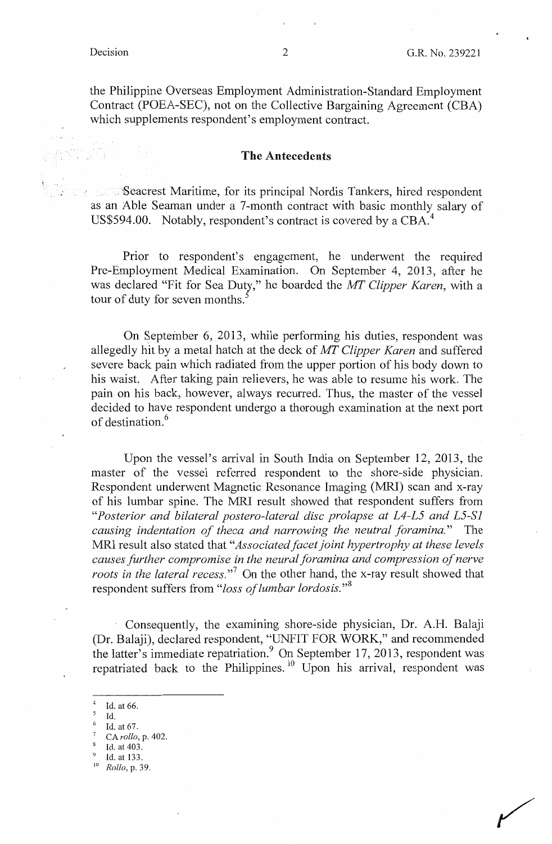the Philippine Overseas Employment Administration-Standard Employment Contract (POEA-SEC), not on the Collective Bargaining Agreement (CBA) which supplements respondent's employment contract.

#### **The Antecedents**

Seacrest Maritime, for its principal Nordis Tankers, hired respondent as an Able Seaman under a 7-month contract with basic monthly salary of US\$594.00. Notably, respondent's contract is covered by a CBA.<sup>4</sup>

Prior to respondent's engagement, he underwent the required Pre-Employment Medical Examination. On September 4, 2013, after he was declared "Fit for Sea Duty," he boarded the *MT Clipper Karen,* with a tour of duty for seven months.<sup>5</sup>

On September 6, 2013, while performing his duties, respondent was allegedly hit by a metal hatch at the deck of *MT Clipper Karen* and suffered severe back pain which radiated from the upper portion of his body down to his waist. After taking pain relievers, he was able to resume his work. The pain on his back, however, always recurred. Thus, the master of the vessel decided to have respondent undergo a thorough examination at the next port of destination. <sup>6</sup>

Upon the vessel's arrival in South India on September 12, 2013, the master of the vessel referred respondent to the shore-side physician. Respondent underwent Magnetic Resonance Imaging (MRI) scan and x-ray of his lumbar spine. The MRI result showed that respondent suffers from *"Posterior and bilateral postero-lateral disc prolapse at L4-L5 and L5-S1 causing indentation of theca and narrowing the neutral foramina."* The MRI result also stated that *"Associated facet joint hypertrophy at these levels causes further compromise in the neural foramina and compression of nerve roots in the lateral recess.*"<sup>7</sup> On the other hand, the x-ray result showed that respondent suffers from *"loss of lumbar lordosis." <sup>8</sup>*

Consequently, the examining shore-side physician, Dr. A.H. Balaji (Dr. Balaji), declared respondent, "UNFIT FOR WORK," and recommended the latter's immediate repatriation.<sup>9</sup> On September 17, 2013, respondent was repatriated back to the Philippines.<sup>10</sup> Upon his arrival, respondent was

<sup>9</sup>Id. at 133. 10 *Rollo,* p. 39.

Id. at  $66.$  Id.

<sup>6</sup>Id. at 67.

<sup>7</sup>CA *rollo,* p. 402.

<sup>8</sup>Id. at 403.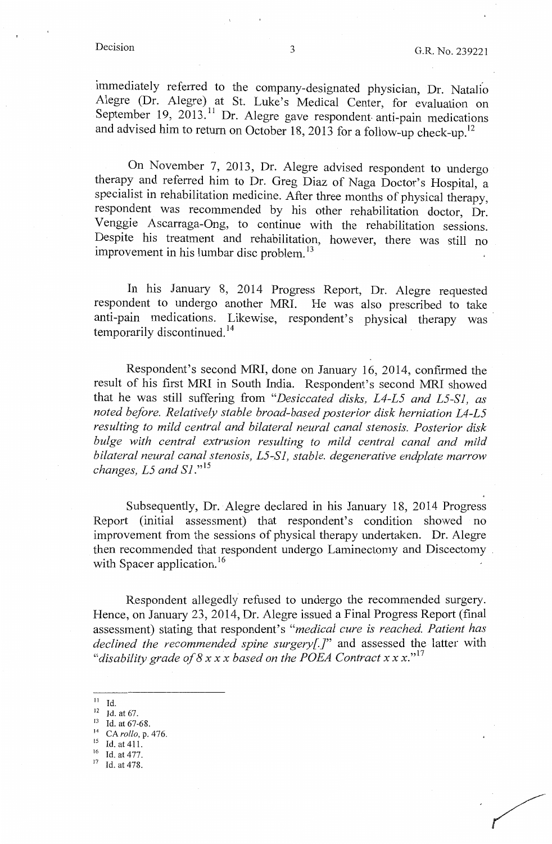immediately referred to the company-designated physician, Dr. Natalio Alegre (Dr. Alegre) at St. Luke's Medical Center, for evaluation on September 19,  $2013$ .<sup>11</sup> Dr. Alegre gave respondent anti-pain medications and advised him to return on October 18, 2013 for a follow-up check-up.<sup>12</sup>

On November 7, 2013, Dr. Alegre advised respondent to undergo therapy and referred him to Dr. Greg Diaz of Naga Doctor's Hospital, a specialist in rehabilitation medicine. After three months of physical therapy, respondent was recommended by his other rehabilitation doctor, Dr. Venggie Ascarraga-Ong, to continue with the rehabilitation sessions. Despite his treatment and rehabilitation, however, there was still no improvement in his lumbar disc problem.<sup>13</sup>

In his January 8, 2014 Progress Report, Dr. Alegre requested respondent to undergo another MRI. He was also prescribed to take anti-pain medications. Likewise, respondent's physical therapy was temporarily discontinued. <sup>14</sup>

Respondent's second MRI, done on January 16, 2014, confirmed the result of his first MRI in South India. Respondent's second MRI showed that he was still suffering from *"Desiccated disks, L4-L5 and L5-S1, as noted before. Relatively stable broad-based posterior disk herniation L4-L5 resulting to mild central and bilateral neural canal stenosis. Posterior disk bulge with central extrusion resulting to mild central canal and mild bilateral neural canal stenosis, L5-S1, stable. degenerative endplate marrow changes, L5 and S1*."<sup>15</sup>

Subsequently, Dr. Alegre declared in his January 18, 2014 Progress Report (initial assessment) that respondent's condition showed no improvement from the sessions of physical therapy undertaken. Dr. Alegre then recommended that respondent undergo Laminectomy and Discectomy . with Spacer application.<sup>16</sup>

Respondent allegedly refused to undergo the recommended surgery. Hence, on January 23, 2014, Dr. Alegre issued a Final Progress Report (final assessment) stating that respondent's *"medical cure is reached. Patient has declined the recommended spine surgery[]"* and assessed the latter with "disability grade of  $8 \times x \times b$  ased on the POEA Contract  $x \times x$ ."<sup>17</sup>

- Id. at 411.
- $\frac{16}{17}$  Id. at 477.
- 

 $\frac{11}{12}$  Id. at 67.<br>  $\frac{13}{13}$  Id. at 67-68.

<sup>14</sup> *CArollo,* p. 476.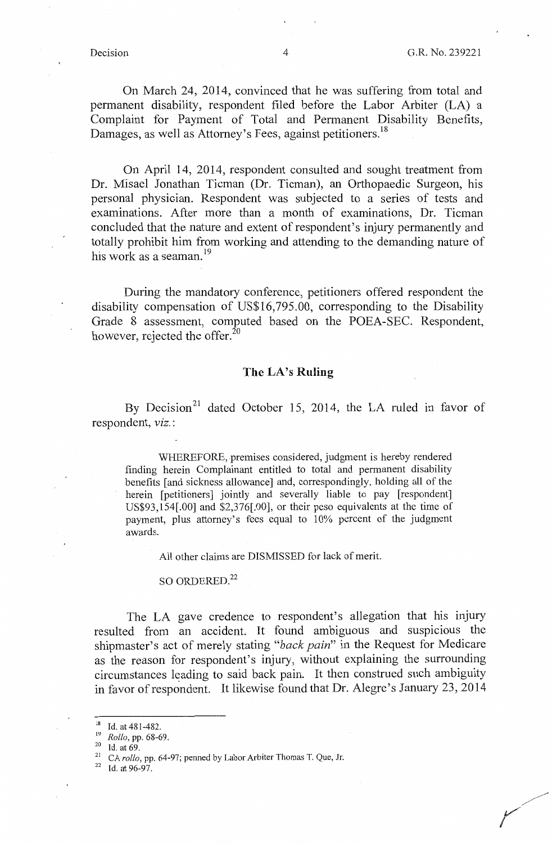On March 24, 2014, convinced that he was suffering from total and permanent disability, respondent filed before the Labor Arbiter (LA) a Complaint for Payment of Total and Permanent Disability Benefits, Damages, as well as Attorney's Fees, against petitioners.<sup>18</sup>

On April 14, 2014, respondent consulted and sought treatment from Dr. Misael Jonathan Tieman (Dr. Tieman), an Orthopaedic Surgeon, his personal physioian. Respondent was subjected to a series of tests and examinations. After more than a month of examinations, Dr. Tieman concluded that the nature and extent of respondent's injury permanently and totally prohibit him from working and attending to the demanding nature of his work as a seaman. 19

During the mandatory conference, petitioners offered respondent the disability compensation of US\$16,795.00, corresponding to the Disability Grade 8 assessment, computed based on the POEA-SEC. Respondent, however, rejected the offer. $^{20}$ 

#### **The LA's Ruling**

By Decision<sup>21</sup> dated October 15, 2014, the LA ruled in favor of respondent, *viz.* :

WHEREFORE, premises considered, judgment is hereby rendered finding herein Complainant entitled to total and permanent disability benefits [ and sickness allowance] and, correspondingly, holding all of the herein [petitioners] jointly and severally liable to pay [respondent] US\$93,154[.00] and \$2,376[.00], or their peso equivalents at the time of payment, plus attorney's fees equal to 10% percent of the judgment awards.

All other claims are DISMISSED for lack of merit.

## SO ORDERED.<sup>22</sup>

The LA gave credence to respondent's allegation that his injury resulted from an accident. It found ambiguous and suspicious the shipmaster's act of merely stating *"back pain"* in the Request for Medicare as the reason for respondent's injury, without explaining the surrounding circumstances leading to said back pain. It then construed such ambiguity in favor of respondent. It likewise found that Dr. Alegre's January 23, 2014

<sup>&</sup>lt;sup>18</sup> Id. at 481-482.<br> $\frac{19}{19}$  Rollo, pp. 68-69.

<sup>19</sup>*Rollo,* pp. 68-69. 20 Id. at 69. 21 CA *rollo,* pp. 64-97; penned by Labor Arbiter Thomas T. Que, Jr.

 $22$  Id. at 96-97.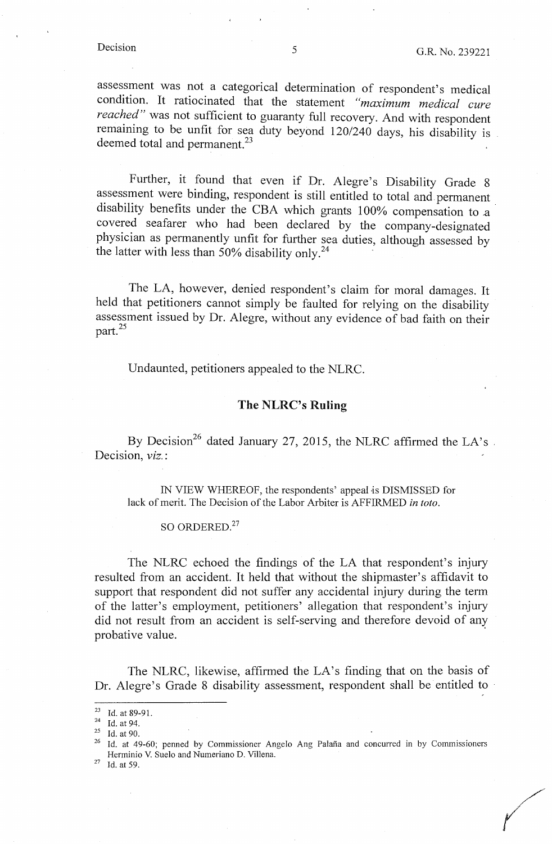*(* 

assessment was not a categorical determination of respondent's medical condition. It ratiocinated that the statement *"maximum medical cure reached"* was not sufficient to guaranty full recovery. And with respondent remaining to be unfit for sea duty beyond 120/240 days, his disability is deemed total and permanent.<sup>23</sup>

Further, it found that even if Dr. Alegre's Disability Grade 8 assessment were binding, respondent is still entitled to total and. permanent disability benefits under the CBA which grants 100% compensation to a covered seafarer who had been declared by the company-designated physician as permanently unfit for further sea duties, although assessed by the latter with less than 50% disability only.<sup>24</sup>

The LA, however, denied respondent's claim for moral damages. It held that petitioners cannot simply be faulted for relying on the disability assessment issued by Dr. Alegre, without any evidence of bad faith on their part. $^{25}$ 

Undaunted, petitioners appealed to the NLRC.

## **The NLRC's Ruling**

By Decision<sup>26</sup> dated January 27, 2015, the NLRC affirmed the LA's Decision, *viz.:* 

IN VIEW WHEREOF, the respondents' appeal is DISMISSED for lack of merit. The Decision of the Labor Arbiter is AFFIRMED *in toto.* 

## SO ORDERED.<sup>27</sup>

The NLRC echoed the findings of the LA that respondent's injury resulted from an accident. It held that without the shipmaster's affidavit to support that respondent did not suffer any accidental injury during the term of the latter's employment, petitioners' allegation that respondent's injury did not result from an accident is self-serving and therefore devoid of any probative value.

The NLRC, likewise, affirmed the LA's finding that on the basis of Dr. Alegre's Grade 8 disability assessment, respondent shall be entitled to

<sup>&</sup>lt;sup>23</sup> Id. at 89-91.<br><sup>24</sup> Id. at 94.<br><sup>25</sup> Id. at 90.<br><sup>26</sup> Id. at 49-60; penned by Commissioner Angelo Ang Palaña and concurred in by Commissioners Herminio V. Suelo and Numeriano D. Villena. 27 Id. at 59.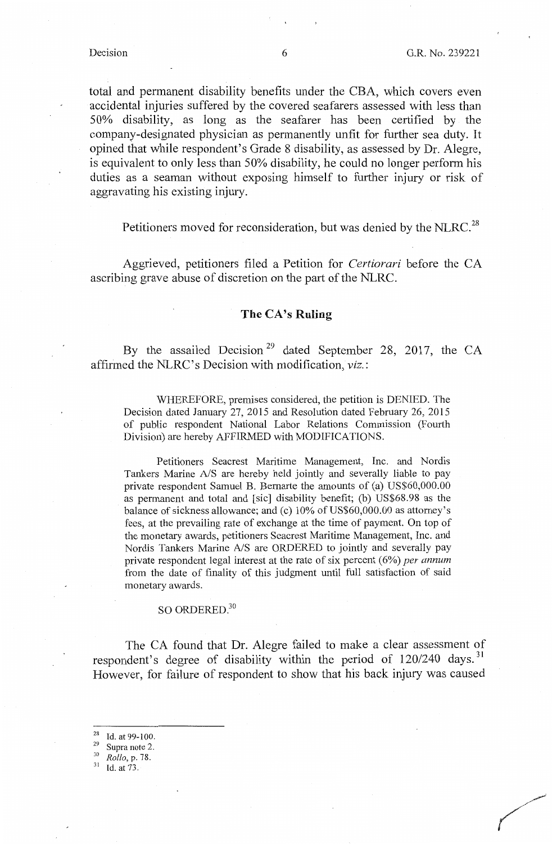total and permanent disability benefits under the CBA, which covers even accidental injuries suffered by the covered seafarers assessed with less than 50% disability, as long as the seafarer has been certified by the company-designated physician as permanently unfit for further sea duty. It opined that while respondent's Grade 8 disability, as assessed by Dr. Alegre, is equivalent to only less than 50% disability, he could no longer perform his duties as a seaman without exposing himself to further injury or risk of aggravating his existing injury.

Petitioners moved for reconsideration, but was denied by the NLRC.<sup>28</sup>

Aggrieved, petitioners filed a Petition for *Certiorari* before the CA ascribing grave abuse of discretion on the part of the NLRC.

## **The CA's Ruling**

By the assailed Decision<sup>29</sup> dated September 28, 2017, the CA affirmed the NLRC' s Decision with modification, *viz.:* 

WHEREFORE, premises considered, the petition is DENIED. The Decision dated January 27, 2015 and Resolution dated February 26, 2015 of public respondent National Labor Relations Commission (Fourth Division) are hereby AFFIRMED with MODIFICATIONS.

Petitioners Seacrest Maritime Management, Inc. and Nordis Tankers Marine A/S are hereby held jointly and severally liable to pay private respondent Samuel B. Bernarte the amounts of (a) US\$60,000.00 as permanent and total and [sic] disability benefit; (b) US\$68 .98 as the balance of sickness allowance; and (c) 10% of US\$60,000.00 as attorney's fees, at the prevailing rate of exchange at the time of payment. On top of the monetary awards, petitioners Seacrest Maritime Management, Inc. and Nordis Tankers Marine A/S are ORDERED to jointly and severally pay private respondent legal interest at the rate of six percent (6%) *per annum*  from the date of finality of this judgment until full satisfaction of said monetary awards.

## SO ORDERED.<sup>30</sup>

The CA found that Dr. Alegre failed to make a clear assessment of respondent's degree of disability within the period of 120/240 days.<sup>31</sup> However, for failure of respondent to show that his back injury was caused

Id. at 73.

<sup>28</sup> Id. at 99-100. 29 Supra note 2. 30 *Rollo,* p. 78.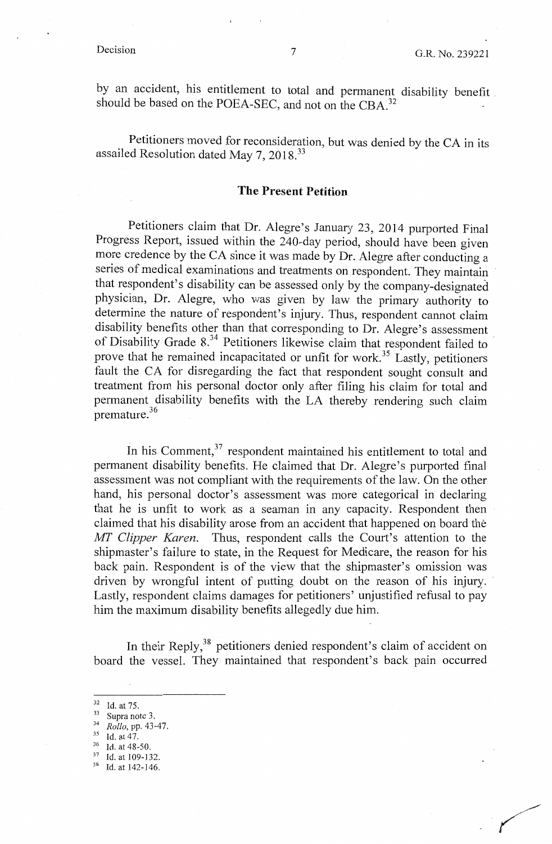by an accident, his entitlement to total and permanent disability benefit . should be based on the POEA-SEC, and not on the CBA  $^{32}$ 

Petitioners moved for reconsideration, but was denied by the CA in its assailed Resolution dated May 7, 2018. <sup>33</sup>

## **The Present Petition**

Petitioners claim that Dr. Alegre's January 23, 2014 purported Final Progress Report, issued within the 240-day period, should have been given more credence by the CA since it was made by Dr. Alegre after conducting a series of medical examinations and treatments on respondent. They maintain that respondent's disability can be assessed only by the company-designated physician, Dr. Alegre, who was given by law the primary authority to determine the nature of respondent's injury. Thus, respondent cannot claim disability benefits other than that corresponding to Dr. Alegre's assessment of Disability Grade 8.<sup>34</sup> Petitioners likewise claim that respondent failed to prove that he remained incapacitated or unfit for work.<sup>35</sup> Lastly, petitioners fault the CA for disregarding the fact that respondent sought consult and treatment from his personal doctor only after filing his claim for total and permanent disability benefits with the LA thereby rendering such claim premature. 36

In his Comment,<sup>37</sup> respondent maintained his entitlement to total and permanent disability benefits. He claimed that Dr. Alegre's purported final assessment was not compliant with the requirements of the law. On the other hand, his personal doctor's assessment was more categorical in declaring that he is unfit to work as a seaman in any capacity. Respondent then claimed that his disability arose from an accident that happened on board the *MT Clipper Karen.* Thus, respondent calls the Court's attention to the shipmaster's failure to state, in the Request for Medicare, the reason for his back pain. Respondent is of the view that the shipmaster's omission was driven by wrongful intent of putting doubt on the reason of his injury. Lastly, respondent claims damages for petitioners' unjustified refusal to pay him the maximum disability benefits allegedly due him.

In their Reply,<sup>38</sup> petitioners denied respondent's claim of accident on board the vessel. They maintained that respondent's back pain occurred

<sup>&</sup>lt;sup>32</sup> Id. at 75.<br><sup>33</sup> Supra note 3.<br><sup>34</sup> *Rollo*, pp. 43-47.<br><sup>35</sup> Id. at 47.<br><sup>36</sup> Id. at 48-50.<br><sup>37</sup> Id. at 109-132.<br><sup>38</sup> Id. at 142-146.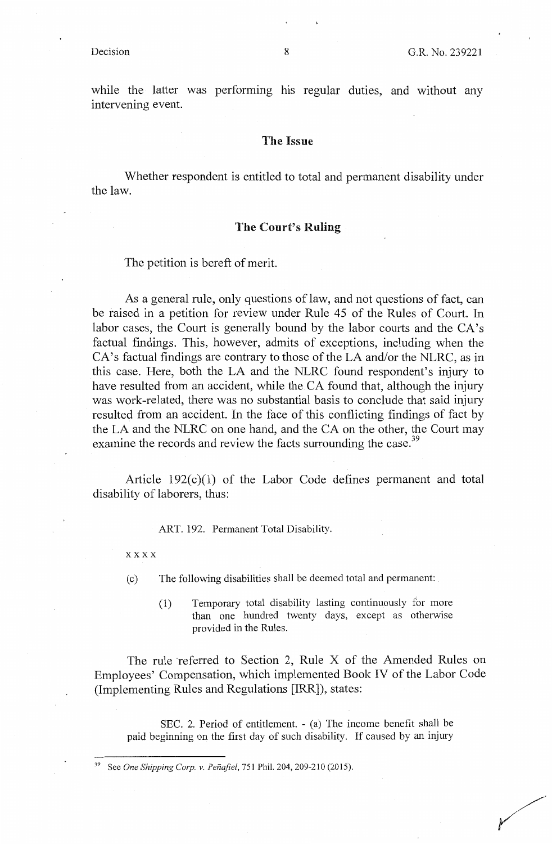while the latter was performing his regular duties, and without any intervening event.

#### **The Issue**

Whether respondent is entitled to total and permanent disability under the law.

#### **The Court's Ruling**

The petition is bereft of merit.

As a general rule, only questions of law, and not questions of fact, can be raised in a petition for review under Rule 45 of the Rules of Court. In labor cases, the Court is generally bound by the labor courts and the CA's factual findings. This, however, admits of exceptions, including when the CA's factual findings are contrary to those of the LA and/or the NLRC, as in this case. Here, both the LA and the NLRC found respondent's injury to have resulted from an accident, while the CA found that, although the injury was work-related, there was no substantial basis to conclude that said injury resulted from an accident. In the face of this conflicting findings of fact by the LA and the NLRC on one hand, and the CA on the other, the Court may examine the records and review the facts surrounding the case.<sup>39</sup>

Article 192(c)(l) of the Labor Code defines permanent and total disability of laborers, thus:

ART. 192. Permanent Total Disability.

#### xxxx

( c) The following disabilities shall be deemed total and permanent:

(1) Temporary total disability lasting continuously for more than one hundred twenty days, except as otherwise provided in the Rules.

The rule referred to Section 2, Rule X of the Amended Rules on Employees' Compensation, which implemented Book IV of the Labor Code (Implementing Rules and Regulations [IRR]), states:

SEC. 2. Period of entitlement. - (a) The income benefit shall be paid beginning on the first day of such disability. If caused by an injury

<sup>39</sup> See *One Shipping Corp. v. Penajiel,* 751 Phil. 204, 209-210 (2015).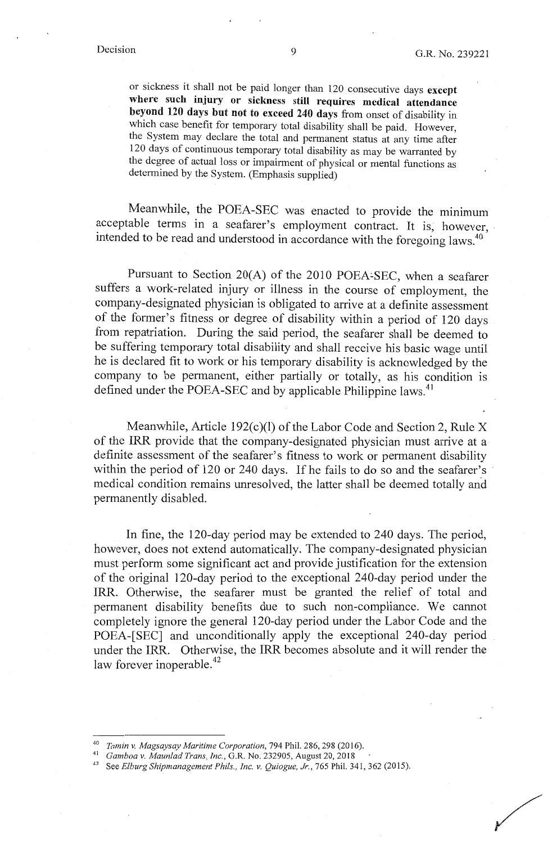/

or sickness it shall not be paid longer than 120 consecutive days **except**  where such injury or sickness still requires medical attendance **beyond 120 days but not to exceed 240 days** from onset of disability in which case benefit for temporary total disability shall be paid. However, the System may declare the total and permanent status at any time after 120 days of continuous temporary total disability as may be warranted by the degree of actual loss or impairment of physical or mental functions as determined by the System. (Emphasis supplied)

Meanwhile, the POEA-SEC was enacted to provide the minimum acceptable terms in a seafarer's employment contract. It is, however, intended to be read and understood in accordance with the foregoing laws.<sup>40</sup>

Pursuant to Section 20(A) of the 2010 POEA:SEC, when a seafarer suffers a work-related injury or illness in the course of employment, the company-designated physician is obligated to arrive at a definite assessment of the former's fitness or degree of disability within a period of 120 days from repatriation. During the said period, the seafarer shall be deemed to be suffering temporary total disability and shall receive his basic wage until he is declared fit to work or his temporary disability is acknowledged by the company to be permanent, either partially or totally, as his condition is defined under the POEA-SEC and by applicable Philippine laws.<sup>41</sup>

Meanwhile, Article 192 $(c)(1)$  of the Labor Code and Section 2, Rule X of the IRR provide that the company-designated physician must arrive at a definite assessment of the seafarer's fitness to work or permanent disability within the period of 120 or 240 days. If he fails to do so and the seafarer's medical condition remains unresolved, the latter shall be deemed totally and permanently disabled.

In fine, the 120-day period may be extended to 240 days. The period, however, does not extend automatically. The company-designated physician must perform some significant act and provide justification for the extension of the original 120-day period to the exceptional 240-day period under the IRR. Otherwise, the seafarer must be granted the relief of total and permanent disability benefits due to such non-compliance. We cannot completely ignore the general 120-day period under the Labor Code and the POEA-[SEC] and unconditionally apply the exceptional 240-day period under the IRR. Otherwise, the IRR becomes absolute and it will render the law forever inoperable.<sup>42</sup>

<sup>&</sup>lt;sup>40</sup> Tamin v. Magsaysay Maritime Corporation, 794 Phil. 286, 298 (2016).<br><sup>41</sup> Gamboa v. Maunlad Trans, Inc., G.R. No. 232905, August 20, 2018<br><sup>42</sup> See Elburg Shipmanagement Phils., Inc. v. Quiogue, Jr., 765 Phil. 341, 362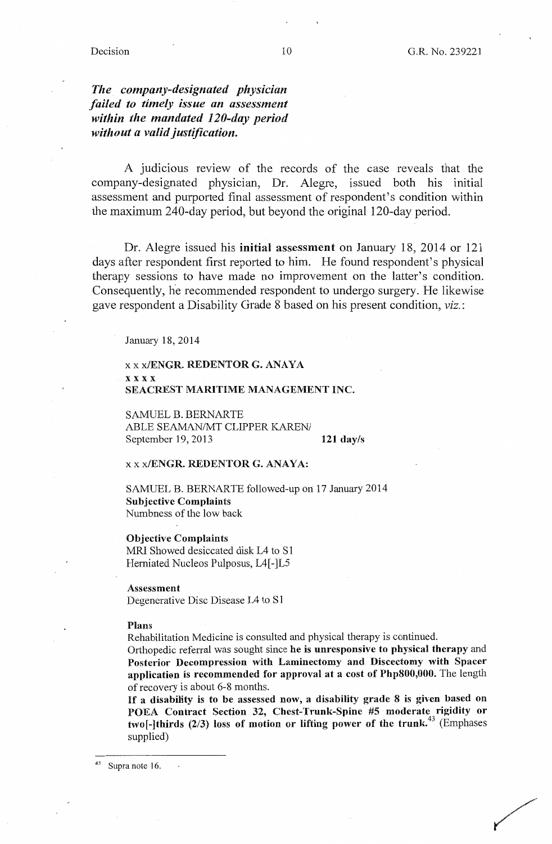## *The company-designated physician failed to timely issue an assessment within the mandated 120-day period without a valid justification.*

A judicious review of the records of the case reveals that the company-designated physician, Dr. Alegre, issued both his initial assessment and purported final assessment of respondent's condition within the maximum 240-day period, but beyond the original 120-day period.

Dr. Alegre issued his **initial assessment** on January 18, 2014 or 121 days after respondent first reported to him. He found respondent's physical therapy sessions to have made no improvement on the latter's condition. Consequently, he recommended respondent to undergo surgery. He likewise gave respondent a Disability Grade 8 based on his present condition, *viz.:* 

January 18, 2014

#### xx **x/ENGR. REDENTOR G. ANAYA xxxx SEACREST MARITIME MANAGEMENT INC.**

SAMUEL B. BERNARTE ABLE SEAMAN/MT CLIPPER KAREN/ September 19, 2013

**121 day/s** 

#### xx **x/ENGR. REDENTOR G. ANAYA:**

SAMUEL B. BERNARTE followed-up on 17 January 2014 **Subjective Complaints**  Numbness of the low back

**Objective Complaints**  MRI Showed desiccated disk L4 to S1 Herniated Nucleos Pulposus, L4[-]L5

**Assessment**  Degenerative Disc Disease L4 to S1

#### **Plans**

Rehabilitation Medicine is consulted and physical therapy is continued.

Orthopedic referral was sought since he is **unresponsive to physical therapy** and **Posterior Decompression with Laminectomy and Discectomy with Spacer application** is **recommended for approval at** a **cost of Php800,000.** The length of recovery is about 6-8 months.

If **a disability** is **to be assessed now, a disability grade 8** is **given based on POEA Contract Section** 32, **Chest-Trunk-Spine #5 moderate rigidity or two[-]thirds (2/3) loss** of **motion or lifting power of the trunk.<sup>43</sup>**(Emphases supplied)

Supra note 16.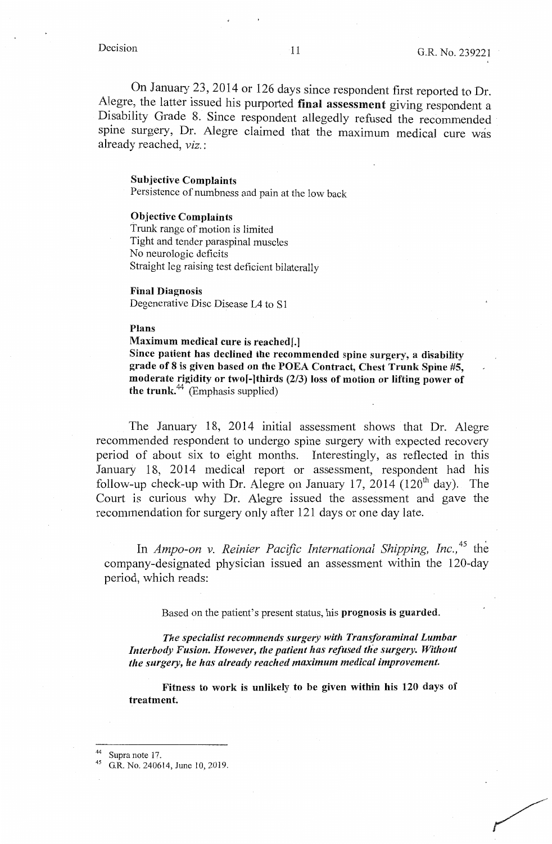/<br>//<br>.

On January 23, 2014 or 126 days since respondent first reported to Dr. Alegre, the latter issued his purported **final assessment** giving respondent a Disability Grade 8. Since respondent allegedly refused the recommended spine surgery, Dr. Alegre claimed that the maximum medical cure was already reached, *viz.* :

#### **Sub\_jective Complaints**

Persistence of numbness and pain at the low back

#### **Objective Complaints**

Trunk range of motion is limited Tight and tender paraspinal muscles No neurologic deficits Straight leg raising test deficient bilaterally

#### **Final Diagnosis**

Degenerative Disc Disease L4 to S1

#### **Plans**

**Maximum medical cure is reachedf.]** 

**Since patient has declined the recommended spine surgery, a disability grade of 8 is given based on the POEA Contract, Chest Trunk Spine #5,**  moderate rigidity or two<sup>[</sup>-]thirds (2/3) loss of motion or lifting power of **the trunk.**<sup> $44$ </sup> (Emphasis supplied)

The January 18, 2014 initial assessment shows that Dr. Alegre recommended respondent to undergo spine surgery with expected recovery period of about six to eight months. Interestingly, as reflected in this January 18, 2014 medical report or assessment, respondent had his follow-up check-up with Dr. Alegre on January 17, 2014 (120<sup>th</sup> day). The Court is curious why Dr. Alegre issued the assessment and gave the recommendation for surgery only after 121 days or one day late.

In *Ampo-on v. Reinier Pacific International Shipping, Inc.*,<sup>45</sup> the company-designated physician issued an assessment within the 120-day period, which reads:

Based on the patient's present status, his **prognosis is guarded.** 

*The specialist recommends surgery with Transforaminal Lumbar*  Interbody Fusion. However, the patient has refused the surgery. Without *the surgery, he has already reached maximum medical improvement.* 

**Fitness to work is unlikely to be given within his 120 days of treatment** 

<sup>&</sup>lt;sup>44</sup> Supra note 17.<br><sup>45</sup> G.R. No. 240614, June 10, 2019.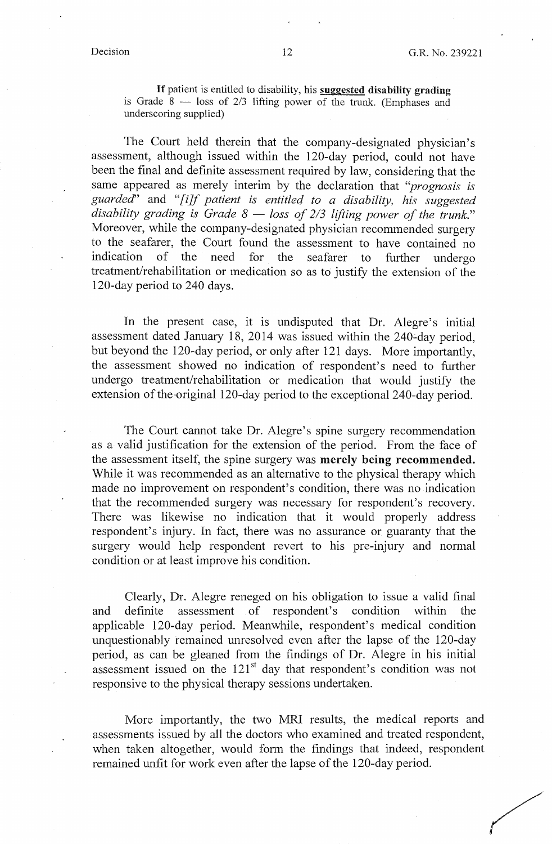If patient is entitled to disability, his **suggested disability grading**  is Grade  $8$  - loss of  $2/3$  lifting power of the trunk. (Emphases and underscoring supplied)

The Court held therein that the company-designated physician's assessment, although issued within the 120-day period, could not have been the final and definite assessment required by law, considering that the same appeared as merely interim by the declaration that *''prognosis is guarded'* and *"[i]f patient is entitled to a disability, his suggested*  disability grading is Grade 8 – loss of 2/3 lifting power of the trunk." Moreover, while the company-designated physician recommended surgery to the seafarer, the Court found the assessment to have contained no indication of the need for the seafarer to further undergo treatment/rehabilitation or medication so as to justify the extension of the 120-day period to 240 days.

In the present case, it is undisputed that Dr. Alegre's initial assessment dated January 18, 2014 was issued within the  $240$ -day period, but beyond the 120-day period, or only after 121 days. More importantly, the assessment showed no indication of respondent's need to further undergo treatment/rehabilitation or medication that would justify the extension of the original 120-day period to the exceptional 240-day period.

The Court cannot take Dr. Alegre's spine surgery recommendation as a valid justification for the extension of the period. From the face of the assessment itself, the spine surgery was **merely being recommended.**  While it was recommended as an alternative to the physical therapy which made no improvement on respondent's condition, there was no indication that the recommended surgery was necessary for respondent's recovery. There was likewise no indication that it would properly address respondent's injury. In fact, there was no assurance or guaranty that the surgery would help respondent revert to his pre-injury and normal condition or at least improve his condition.

Clearly, Dr. Alegre reneged on his obligation to issue a valid final and definite assessment of respondent's condition within the applicable 120-day period. Meanwhile, respondent's medical condition unquestionably remained unresolved even after the lapse of the 120-day period, as can be gleaned from the findings of Dr. Alegre in his initial assessment issued on the  $121<sup>st</sup>$  day that respondent's condition was not responsive to the physical therapy sessions undertaken.

More importantly, the two MRI results, the medical reports and assessments issued by all the doctors who examined and treated respondent, when taken altogether, would form the findings that indeed, respondent remained unfit for work even after the lapse of the 120-day period.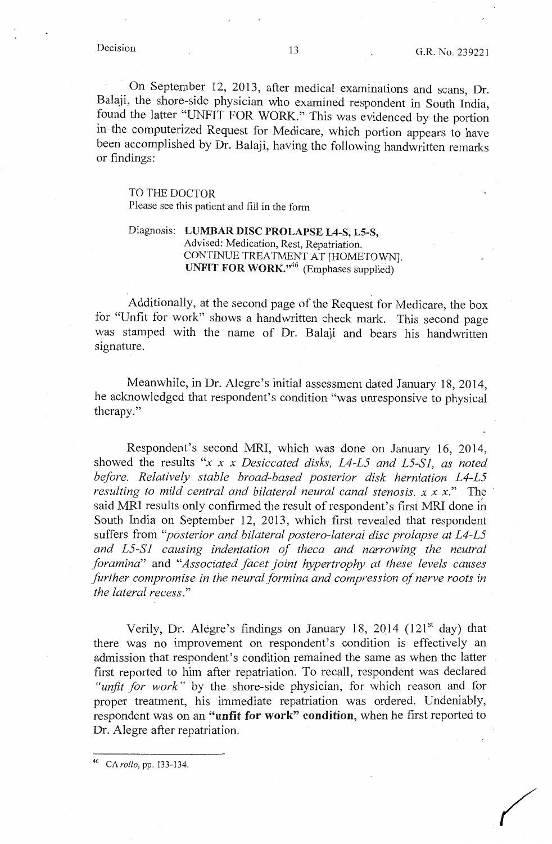On September 12, 2013, after medical examinations and scans, Dr. Balaji, the shore-side physician who examined respondent in South India, found the latter "UNFIT FOR WORK." This was evidenced by the portion in the computerized Request for Medicare, which portion appears to have been accomplished by Dr. Balaji, having the following handwritten remarks or findings:

## TO THE DOCTOR

Please see this patient and fill in the form

## Diagnosis: **LUMBAR DISC PROLAPSE L4-S, LS-S,**  Advised: Medication, Rest, Repatriation. CONTINUE TREATMENT AT [HOMETOWN]. **UNFIT FOR WORK."<sup>46</sup>**(Emphases supplied)

Additionally, at the second page of the Request for Medicare, the box for "Unfit for work" shows a handwritten check mark. This second page was stamped with the name of Dr. Balaji and bears his handwritten signature.

Meanwhile, in Dr. Alegre's initial assessment dated January 18, 2014, he acknowledged that respondent's condition "was unresponsive to physical therapy."

Respondent's second MRI, which was done on January 16, 2014, showed the results *"x x x Desiccated disks, L4-L5 and L5-S1, as noted before. Relatively stable broad-based posterior disk herniation L4-L5 resulting to mild central and bilateral neural canal stenosis. x x x."* The said MRI results only confirmed the result of respondent's first MRI done in South India on September 12, 2013, which first revealed that respondent suffers from *"posterior and bilateral postero-lateral disc prolapse at L4-L5*  and L5-S1 causing indentation of theca and narrowing the neutral *foramina"* and *"Associated facet joint hypertrophy at these levels causes further compromise in the neural formina and compression of nerve roots in the lateral recess."* 

Verily, Dr. Alegre's findings on January 18, 2014 (121 $^{\rm st}$  day) that there was no improvement on respondent's condition is effectively an admission that respondent's condition remained the same as when the latter first reported to him after repatriation. To recall, respondent was declared *"unfit for work"* by the shore-side physician, for which reason and for proper treatment, his immediate repatriation was ordered. Undeniably, respondent was on an **"unfit for work" condition,** when he first reported to Dr. Alegre after repatriation.

CA rollo, pp. 133-134.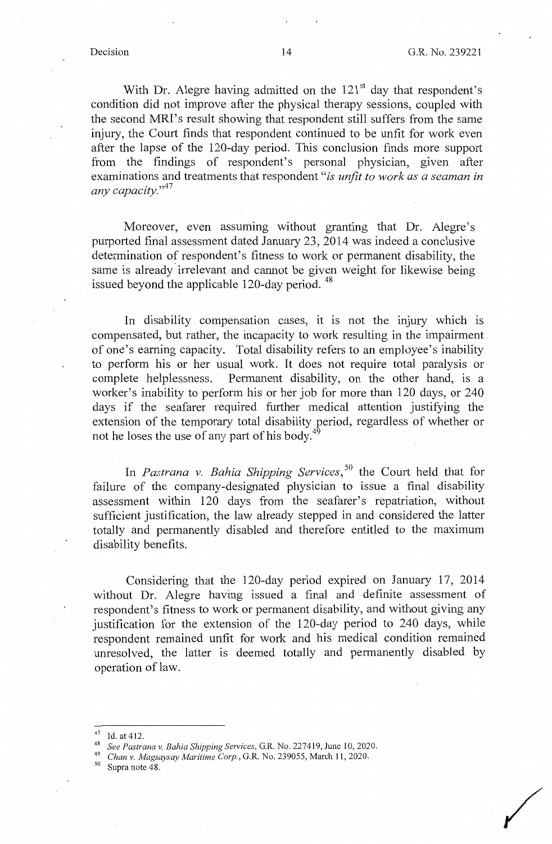/

With Dr. Alegre having admitted on the 121<sup>st</sup> day that respondent's condition did not improve after the physical therapy sessions, coupled with the second MRI's result showing that respondent still suffers from the same injury, the Court finds that respondent continued to be unfit for work even after the lapse of the 120-day period. This conclusion finds more support from the findings of respondent's personal physician, given after examinations and treatments that respondent "is unfit to work as a seaman in *any capacity.*"<sup>47</sup>

Moreover, even assuming without granting that Dr. Alegre's purported final assessment dated January 23, 2014 was indeed a conclusive determination ot respondent's fitness to work or permanent disability, the same is already irrelevant and cannot be given weight for likewise being issued beyond the applicable 120-day period.<sup>48</sup>

In disability compensation cases, it is not the injury which is compensated, but rather, the incapacity to work resulting in the impairment of one's earning capacity. Total disability refers to an employee's inability to perform his or her usual work. It does not require total paralysis or complete helplessness. Permanent disability, on the other hand, is a worker's inability to perform his or her job for more than 120 days, or 240 days if the seafarer required further medical attention justifying the extension of the temporary total disability period, regardless of whether or not he loses the use of any part of his body.<sup>4</sup>

In *Pastrana v. Bahia Shipping Services,* 50 the Court held that for failure of the company-designated physician to issue a final disability assessment within 120 days from the seafarer's repatriation, without sufficient justification, the law already stepped in and considered the latter totally and permanently disabled and therefore entitled to the maximum disability benefits.

Considering that the 120-day period expired on January 17, 2014 without Dr. Alegre having issued a final and definite assessment of respondent's fitness to work or permanent disability, and without giving any justification for the extension of the 120-day period to 240 days, while respondent remained unfit for work and his medical condition remained unresolved, the latter is deemed totally and permanently disabled by operation of law.

<sup>47</sup> Id.at412. 48 *See Pastrana v. Bahia Shipping Services,* G.R. No. 227419, June 10, 2020. 49 *Chan v. Magsaysay Maritime Corp.,* G.R. No. 239055, March 11, 2020. 50 Supra note 48.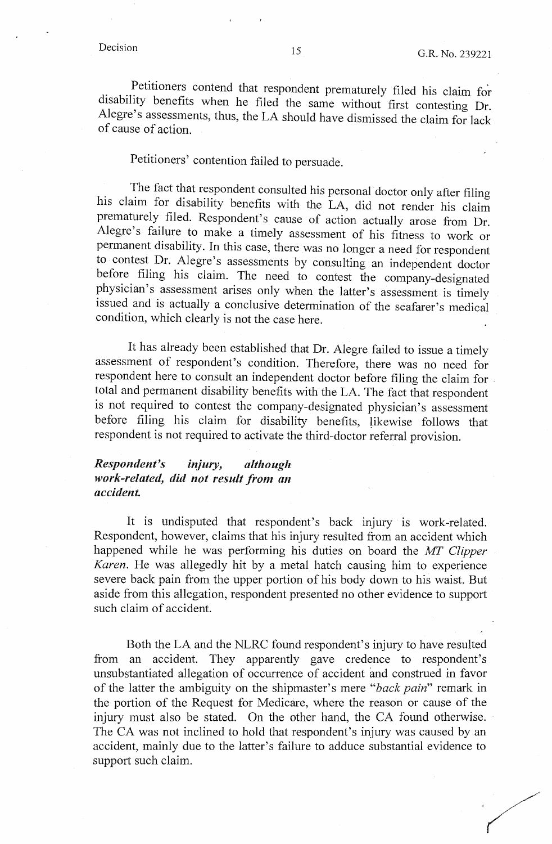Petitioners contend that respondent prematurely filed his claim for disability benefits when he filed the same without first contesting Dr. Alegre's assessments, thus, the LA should have dismissed the claim for lack of cause of action.

# Petitioners' contention failed to persuade.

The fact that respondent consulted his personal-doctor only after filing his claim for disability benefits with the LA, did not render his claim prematurely filed. Respondent's cause of action actually arose from Dr. Alegre's failure to make a timely assessment of his fitness to work or permanent disability. In this case, there was no longer a need for respondent to contest Dr. Alegre's assessments by consulting an independent doctor before filing his claim. The need to contest the company-designated physician's assessment arises only when the latter's assessment is timely issued and is actually a conclusive determination of the seafarer's medical condition, which clearly is not the case here.

It has already been established that Dr. Alegre failed to issue a timely assessment of respondent's condition. Therefore, there was no need for respondent here to consult an independent doctor before filing the claim for . total and permanent disability benefits with the LA. The fact that respondent is not required to contest the company-designated physician's assessment before filing his claim for disability benefits, likewise follows that respondent is not required to activate the third-doctor referral provision.

## *Respondent's m1ury, although work-related, did not result from an accident.*

It is undisputed that respondent's back injury is work-related. Respondent, however, claims that his injury resulted from an accident which happened while he was performing his duties on board the *MT Clipper Karen.* He was allegedly hit by a metal hatch causing him to experience severe back pain from the upper portion of his body down to his waist. But aside from this allegation, respondent presented no other evidence to support such claim of accident.

Both the LA and the NLRC found respondent's injury to have resulted from an accident. They apparently gave credence to respondent's unsubstantiated allegation of occurrence of accident and construed in favor of the latter the ambiguity on the shipmaster's mere *"back pain"* remark in the portion of the Request for Medicare, where the reason or cause of the injury must also be stated. On the other hand, the CA found otherwise. The CA was not inclined to hold that respondent's injury was caused by an accident, mainly due to the latter's failure to adduce substantial evidence to support such claim.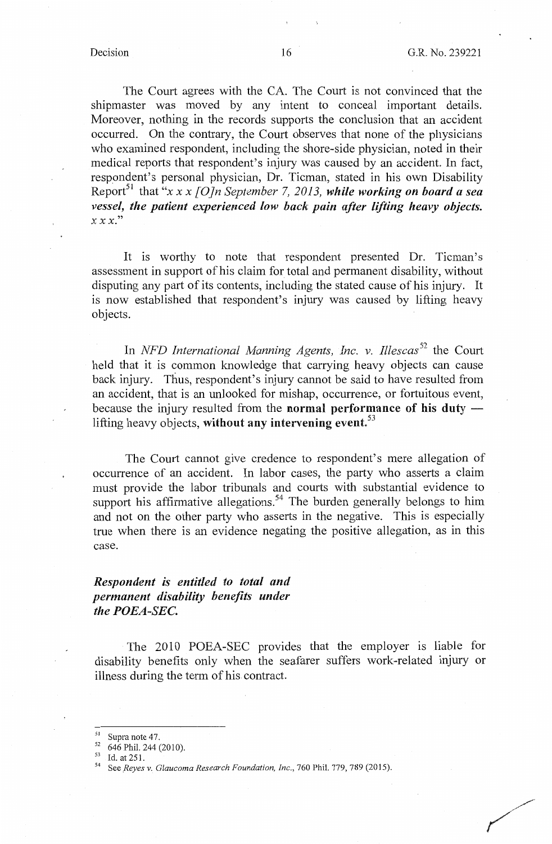The Court agrees with the CA. The Court is not convinced that the shipmaster was moved by any intent to conceal important details. Moreover, nothing in the records supports the conclusion that an accident occurred. On the contrary, the Court observes that none of the physicians who examined respondent, including the shore-side physician, noted in their medical reports that respondent's injury was caused by an accident. In fact, respondent's personal physician, Dr. Tieman, stated in his own Disability Report<sup>51</sup> that "x x x [O]n September 7, 2013, while working on board a sea *vessel, the patient experienced low back pain after lifting heavy objects. XX X."* 

It is worthy to note that respondent presented Dr. Ticman's assessment in support of his claim for total and permanent disability, without disputing any part of its contents, including the stated cause of his injury. It is now established that respondent's injury was caused by lifting heavy objects.

In *NFD International Manning Agents, Inc. v. Illescas*<sup>52</sup> the Court held that it is common knowledge that carrying heavy objects can cause back injury. Thus, respondent's injury cannot be said to have resulted from an accident, that is an unlooked for mishap, occurrence, or fortuitous event, because the injury resulted from the **normal performance of his duty** lifting heavy objects, **without any intervening event.<sup>53</sup>**

The Court cannot give credence to respondent's mere allegation of occurrence of an accident. In labor cases, the party who asserts a claim must provide the labor tribunals and courts with substantial evidence to support his affirmative allegations.<sup>54</sup> The burden generally belongs to him and not on the other party who asserts in the negative. This is especially true when there is an evidence negating the positive allegation, as in this case.

## *Respondent is entitled to total and permanent disability benefits under the POEA-SEC.*

The 2010 POEA-SEC provides that the employer is liable for disability benefits only when the seafarer suffers work-related injury or illness during the term of his contract.

<sup>&</sup>lt;sup>51</sup> Supra note 47.<br>
<sup>52</sup> 646 Phil. 244 (2010).<br>
<sup>53</sup> Id. at 251.<br>
<sup>54</sup> See *Reyes v. Glaucoma Research Foundation, Inc., 760 Phil. 779, 789 (2015).*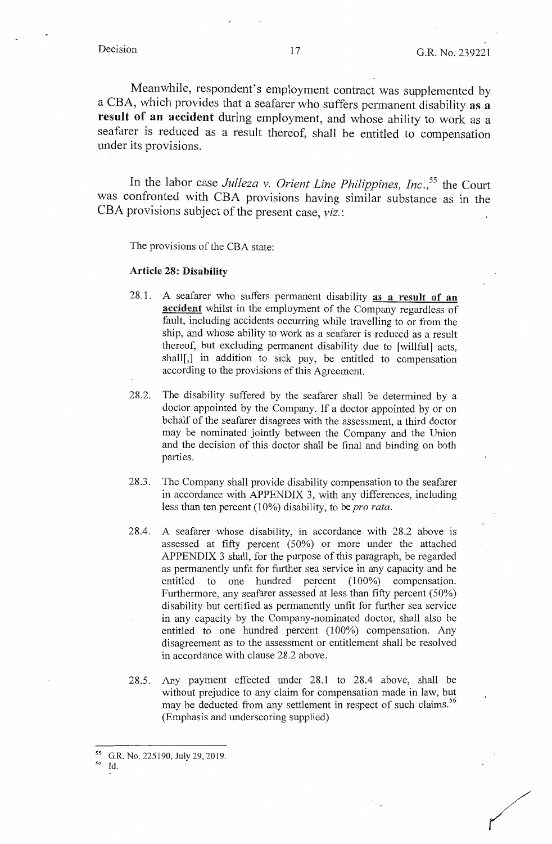Meanwhile, respondent's employment contract was supplemented by a CBA, which provides that a seafarer who suffers permanent disability **as a result of an accident** during employment, and whose ability to work as a seafarer is reduced as a result thereof, shall be entitled to compensation under its provisions.

In the labor case *Julleza v. Orient Line Philippines, Inc.*<sup>55</sup> the Court was confronted with CBA provisions having similar substance as in the CBA provisions subject of the present case, *viz.:* 

The provisions of the CBA state:

#### **Article 28: Disability**

- 28.1. A seafarer who suffers permanent disability **as a result of an accident** whilst in the employment of the Company regardless of fault, including accidents occurring while travelling to or from the ship, and whose ability to work as a seafarer is reduced as a result thereof, but excluding permanent disability due to [willful] acts, shall<sup>[1]</sup>, in addition to sick pay, be entitled to compensation according to the provisions of this Agreement.
- 28.2. The disability suffered by the seafarer shall be determined by a doctor appointed by the Company. If a doctor appointed by or on behalf of the seafarer disagrees with the assessment, a third doctor may be nominated jointly between the Company and the Union and the decision of this doctor shall be final and binding on both parties.
- 28.3. The Company shall provide disability compensation to the seafarer in accordance with APPENDIX 3, with any differences, including less than ten percent (10%) disability, to be *pro rata*.
- 28.4. A seafarer whose disability, in accordance with 28.2 above is assessed at fifty percent (50%) or more under the attached APPENDIX 3 shall, for the purpose of this paragraph, be regarded as permanently unfit for further sea service in any capacity and be entitled to one hundred percent (100%) compensation. Furthermore, any seafarer assessed at less than fifty percent (50%) disability but certified as permanently unfit for further sea service in any capacity by the Company-nominated doctor, shall also be entitled to one hundred percent (100%) compensation. Any disagreement as to the assessment or entitlement shall be resolved in accordance with clause 28.2 above.
- 28.5. Any payment effected under 28.1 to 28.4 above, shall be without prejudice to any claim for compensation made in law, but may be deducted from any settlement in respect of such claims.<sup>56</sup> (Emphasis and underscoring supplied)

 $^{55}$  G.R. No. 225190, July 29, 2019.<br><sup>56</sup> Id.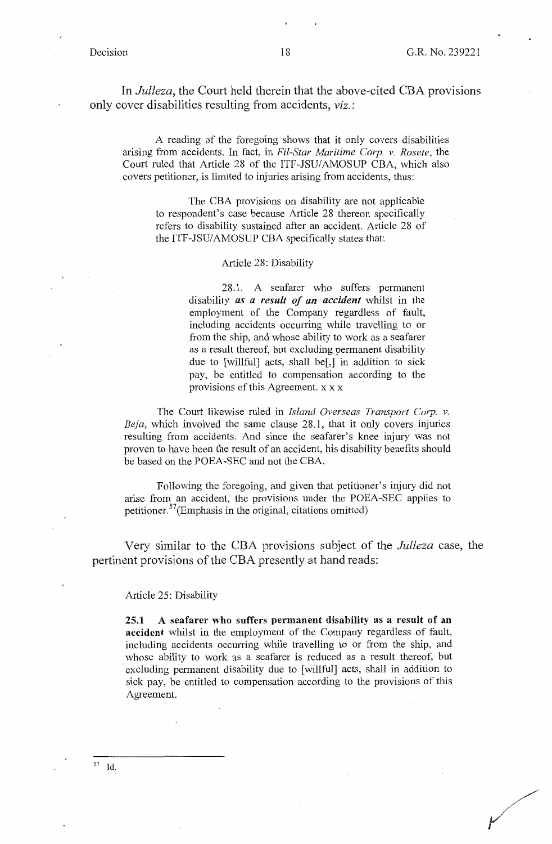In *Julleza,* the Court held therein that the above-cited CBA provisions only cover disabilities resulting from accidents, *viz.:* 

A reading of the foregoing shows that it only covers disabilities arising from accidents. In fact, in *Fil-Star Maritime Corp. v. Rosete,* the Court ruled that Article 28 of the ITF-JSU/AMOSUP CBA, which also covers petitioner, is limited to injuries arising from accidents, thus:

The CBA provisions on disability are not applicable to respondent's case because Article 28 thereon specifically refers to disability sustained after an accident. Article 28 of the ITF-JSU/AMOSUP CBA specifically states that:

#### Article 28: Disability

28.1. A seafarer who suffers permanent disability *as a result of an accident* whilst in the employment of the Company regardless of fault, including accidents occurring while travelling to or from the ship, and whose ability to work as a seafarer as a result thereof, but excluding permanent disability due to [willful] acts, shall be[,] in addition to sick pay, be entitled to compensation according to the provisions of this Agreement. x x x

The Court likewise ruled in *Island Overseas Transport Corp. v. Beja,* which involved the same clause 28.1, that it only covers injuries resulting from accidents. And since the seafarer's knee injury was not proven to have been the result of an accident, his disability benefits should be based on the POEA-SEC and not the CBA.

Following the foregoing, and given that petitioner's injury did not arise from an accident, the provisions under the POEA-SEC applies to petitioner. 57 (Emphasis in the original, citations omitted)

Very similar to the CBA provisions subject of the *Julleza* case, the pertinent provisions of the CBA presently at hand reads:

#### Article 25: Disability

**25.1 A seafarer who suffers permanent disability as a result of an accident** whilst in the employment of the Company regardless of fault, including accidents occurring while travelling to or from the ship, and whose ability to work as a seafarer is reduced as a result thereof, but excluding permanent disability due to [ willful] acts, shall in addition to sick pay, be entitled to compensation according to the provisions of this Agreement.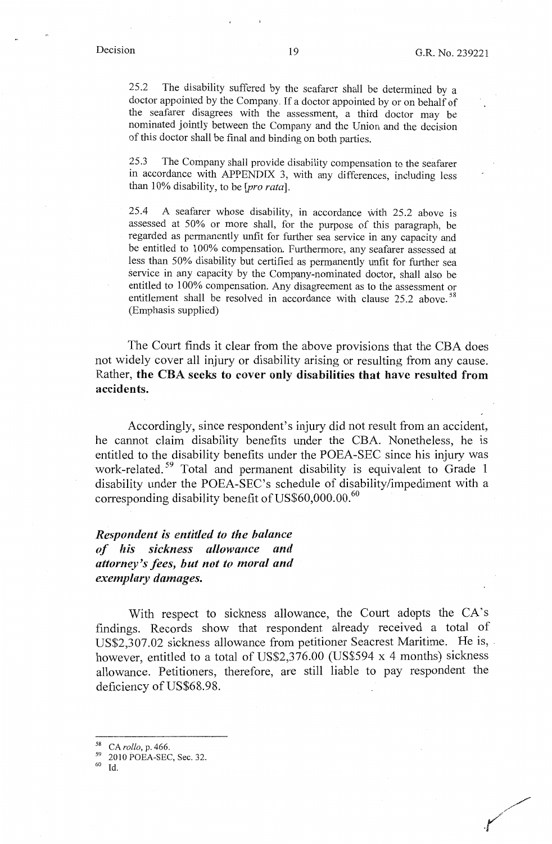/ *.r* 

25 .2 The disability suffered by the seafarer shall be determined by a doctor appointed by the Company. If a doctor appointed by or on behalf of the seafarer disagrees with the assessment, a third doctor may be nominated jointly between the Company and the Union and the decision of this doctor shall be final and binding on both parties.

25.3 The Company shall provide disability compensation to the seafarer in accordance with APPENDIX 3, with any differences, including less than 10% disability, to be *[pro rata].* 

25.4 A seafarer whose disability, in accordance with 25.2 above is assessed at 50% or more shall, for the purpose of this paragraph, be regarded as permanently unfit for further sea service in any capacity and be entitled to 100% compensation. Furthermore, any seafarer assessed at less than 50% disability but certified as permanently unfit for further sea service in any capacity by the Company-nominated doctor, shall also be entitled to 100% compensation. Any disagreement as to the assessment or entitlement shall be resolved in accordance with clause 25.2 above.<sup>58</sup> (Emphasis supplied)

The Court finds it clear from the above provisions that the CBA does not widely cover all injury or disability arising or resulting from any cause. Rather, **the CBA seeks to cover only disabilities that have resulted from accidents.** 

Accordingly, since respondent's injury did not result from an accident, he cannot claim disability benefits under the CBA. Nonetheless, he is entitled to the disability benefits under the POEA-SEC since his injury was work-related. 59 Total and permanent disability is equivalent to Grade I disability under the POEA-SEC's schedule of disability/impediment with a corresponding disability benefit of  $US$60,000.00$ .<sup>60</sup>

*Respondent is entitled to the balance of his sickness allowance and attorney's fees, but not to moral and exemplary damages.* 

With respect to sickness allowance, the Court adopts the CA's findings. Records show that respondent already received a total of US\$2,307.02 sickness allowance from petitioner Seacrest Maritime. He is, however, entitled to a total of US\$2,376.00 (US\$594 x 4 months) sickness allowance. Petitioners, therefore, are still liable to pay respondent the deficiency of US\$68.98.

<sup>58</sup> CA *rollo,* p. 466.

 $^{59}_{60}$  2010 POEA-SEC, Sec. 32.

Id.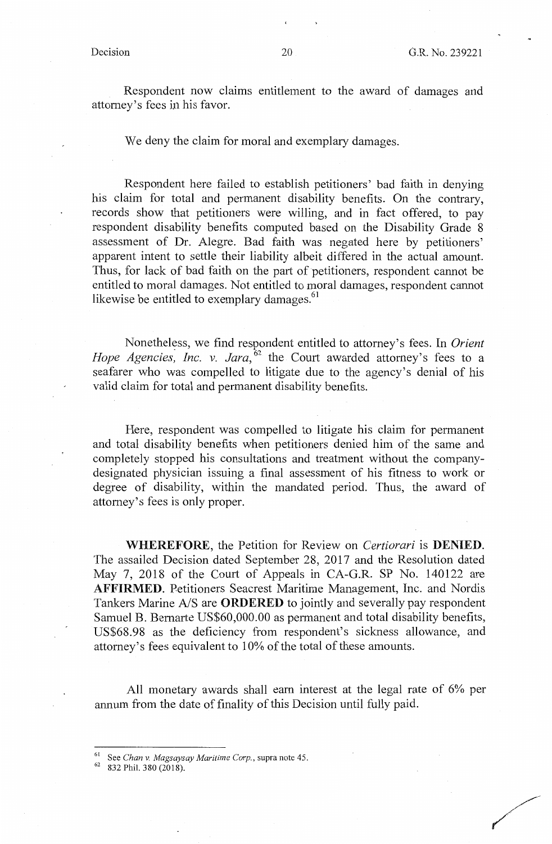**/** 

Respondent now claims entitlement to the award of damages and attorney's fees in his favor.

We deny the claim for moral and exemplary damages.

Respondent here failed to establish petitioners' bad faith in denying his claim for total and permanent disability benefits. On the contrary, records show that petitioners were willing, and in fact offered, to pay respondent disability benefits computed based on the Disability Grade 8 assessment of Dr. Alegre. Bad faith was negated here by petitioners' apparent intent to settle their liability albeit differed in the actual amount. Thus, for lack of bad faith on the part of petitioners, respondent cannot be entitled to moral damages. Not entitled to moral damages, respondent cannot likewise be entitled to exemplary damages.<sup>61</sup>

Nonetheless, we find respondent entitled to attorney's fees. In *Orient Hope Agencies, Inc. v. Jara*, <sup>62</sup> the Court awarded attorney's fees to a seafarer who was compelled to litigate due to the agency's denial of his valid claim for total and permanent disability benefits.

Here, respondent was compelled to litigate his claim for permanent and total disability benefits when petitioners denied him of the same and completely stopped his consultations and treatment without the companydesignated physician issuing a final assessment of his fitness to work or degree of disability, within the mandated period. Thus, the award of attorney's fees is only proper.

**WHEREFORE,** the Petition for Review on *Certiorari* is **DENIED.**  The assailed Decision dated September 28, 2017 and the Resolution dated May 7, 2018 of the Court of Appeals in CA-G.R. SP No. 140122 are **AFFIRMED.** Petitioners Seacrest Maritime Management, Inc. and Nordis Tankers Marine A/S are **ORDERED** to jointly and severally pay respondent Samuel B. Bernarte US\$60,000.00 as permanent and total disability benefits, US\$68.98 as the deficiency from respondent's sickness allowance, and attorney's fees equivalent to 10% of the total of these amounts.

All monetary awards shall earn interest at the legal rate of 6% per annum from the date of finality of this Decision until fully paid.

<sup>61</sup> See *Chan v. Magsaysay Maritime Corp.,* supra note 45. 62 832 Phil. 380 (2018).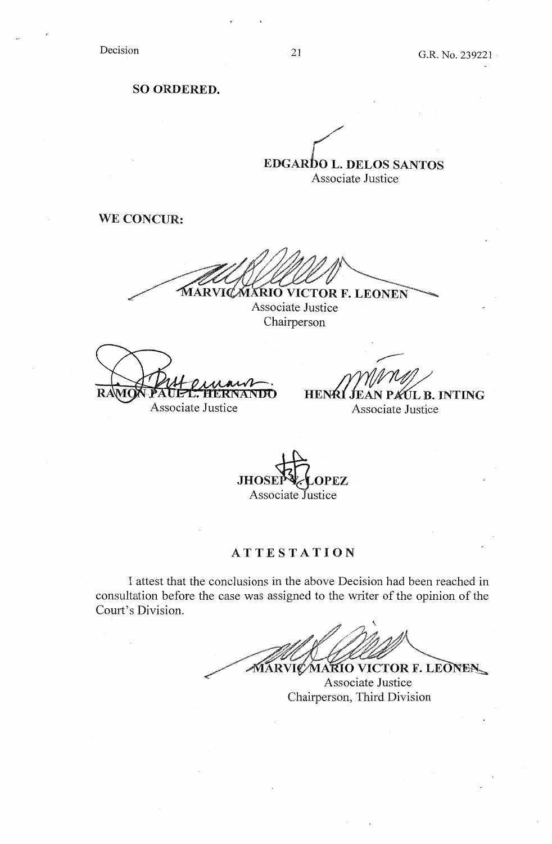Decision

**SO ORDERED.** 

**EDGARDO L. DELOS SANTOS** Associate Justice

**WE CONCUR:** 

MARVICMARIO VICTOR F. LEONEN

Associate Justice Chairperson

 $\mathbf{R}$ Associate Justice

**HENRI PAIL B. INTING** Associate Justice

**JHOSEP & OPEZ** Associate Justice

## **ATTESTATION**

I attest that the conclusions in the above Decision had been reached in consultation before the case was assigned to the writer of the opinion of the Court's Division.

**MARVIC MARIO VICTOR F. LEONEN** 

Associate Justice Chairperson, Third Division